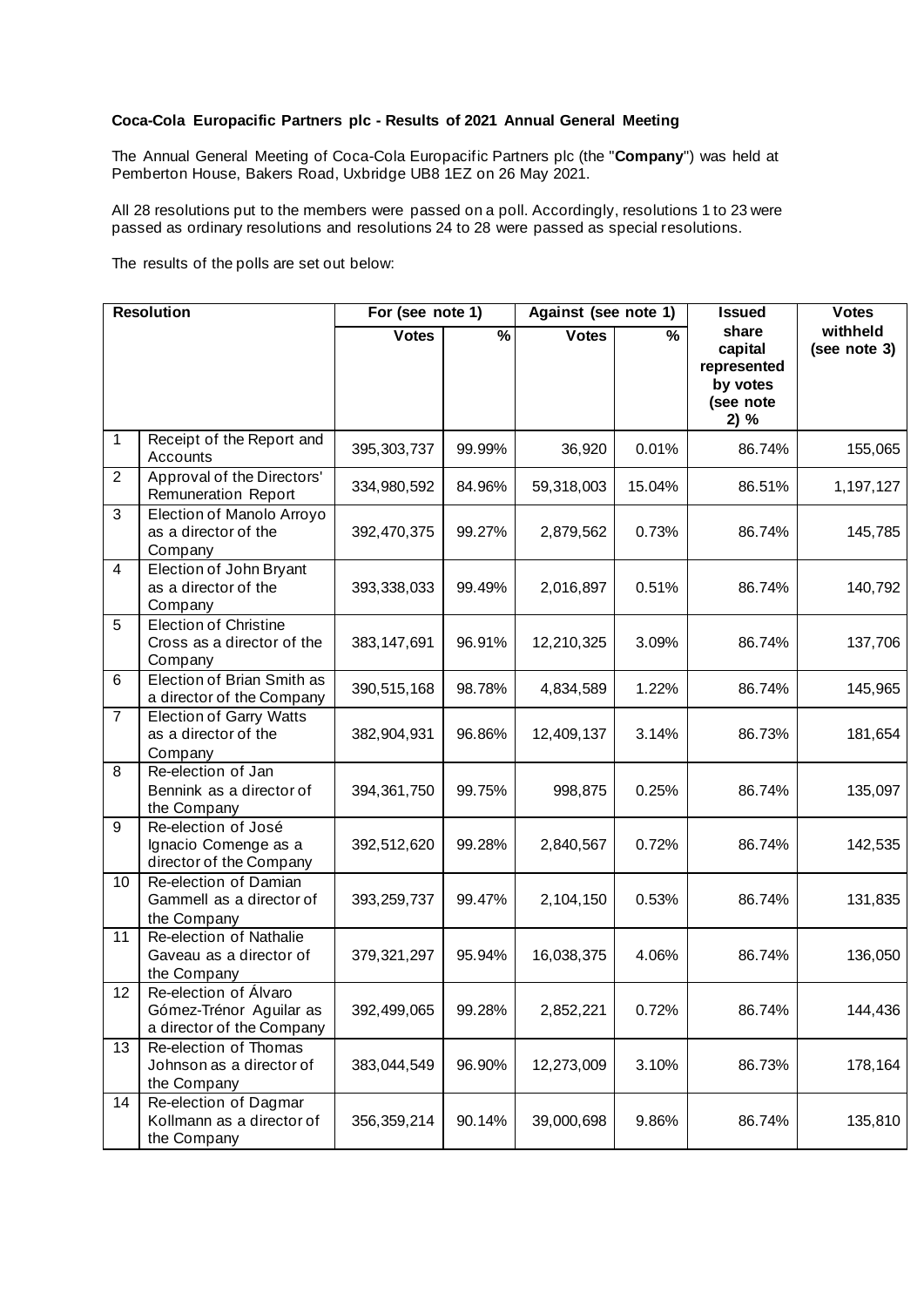## **Coca-Cola Europacific Partners plc - Results of 2021 Annual General Meeting**

The Annual General Meeting of Coca-Cola Europacific Partners plc (the "**Company**") was held at Pemberton House, Bakers Road, Uxbridge UB8 1EZ on 26 May 2021.

All 28 resolutions put to the members were passed on a poll. Accordingly, resolutions 1 to 23 were passed as ordinary resolutions and resolutions 24 to 28 were passed as special resolutions.

The results of the polls are set out below:

| <b>Resolution</b> |                                                                               | For (see note 1) |                          | Against (see note 1) |        | <b>Issued</b>                                                    | <b>Votes</b>             |
|-------------------|-------------------------------------------------------------------------------|------------------|--------------------------|----------------------|--------|------------------------------------------------------------------|--------------------------|
|                   |                                                                               | <b>Votes</b>     | $\overline{\frac{9}{6}}$ | <b>Votes</b>         | $\%$   | share<br>capital<br>represented<br>by votes<br>(see note<br>2) % | withheld<br>(see note 3) |
| 1                 | Receipt of the Report and<br>Accounts                                         | 395, 303, 737    | 99.99%                   | 36,920               | 0.01%  | 86.74%                                                           | 155,065                  |
| $\overline{2}$    | Approval of the Directors'<br><b>Remuneration Report</b>                      | 334,980,592      | 84.96%                   | 59,318,003           | 15.04% | 86.51%                                                           | 1,197,127                |
| 3                 | Election of Manolo Arroyo<br>as a director of the<br>Company                  | 392,470,375      | 99.27%                   | 2,879,562            | 0.73%  | 86.74%                                                           | 145,785                  |
| $\overline{4}$    | Election of John Bryant<br>as a director of the<br>Company                    | 393,338,033      | 99.49%                   | 2,016,897            | 0.51%  | 86.74%                                                           | 140,792                  |
| 5                 | <b>Election of Christine</b><br>Cross as a director of the<br>Company         | 383, 147, 691    | 96.91%                   | 12,210,325           | 3.09%  | 86.74%                                                           | 137,706                  |
| 6                 | Election of Brian Smith as<br>a director of the Company                       | 390,515,168      | 98.78%                   | 4,834,589            | 1.22%  | 86.74%                                                           | 145,965                  |
| $\overline{7}$    | <b>Election of Garry Watts</b><br>as a director of the<br>Company             | 382,904,931      | 96.86%                   | 12,409,137           | 3.14%  | 86.73%                                                           | 181,654                  |
| 8                 | Re-election of Jan<br>Bennink as a director of<br>the Company                 | 394, 361, 750    | 99.75%                   | 998,875              | 0.25%  | 86.74%                                                           | 135,097                  |
| 9                 | Re-election of José<br>Ignacio Comenge as a<br>director of the Company        | 392,512,620      | 99.28%                   | 2,840,567            | 0.72%  | 86.74%                                                           | 142,535                  |
| 10                | Re-election of Damian<br>Gammell as a director of<br>the Company              | 393,259,737      | 99.47%                   | 2,104,150            | 0.53%  | 86.74%                                                           | 131,835                  |
| 11                | Re-election of Nathalie<br>Gaveau as a director of<br>the Company             | 379,321,297      | 95.94%                   | 16,038,375           | 4.06%  | 86.74%                                                           | 136,050                  |
| 12                | Re-election of Álvaro<br>Gómez-Trénor Aguilar as<br>a director of the Company | 392,499,065      | 99.28%                   | 2,852,221            | 0.72%  | 86.74%                                                           | 144,436                  |
| 13                | Re-election of Thomas<br>Johnson as a director of<br>the Company              | 383,044,549      | 96.90%                   | 12,273,009           | 3.10%  | 86.73%                                                           | 178,164                  |
| 14                | Re-election of Dagmar<br>Kollmann as a director of<br>the Company             | 356, 359, 214    | 90.14%                   | 39,000,698           | 9.86%  | 86.74%                                                           | 135,810                  |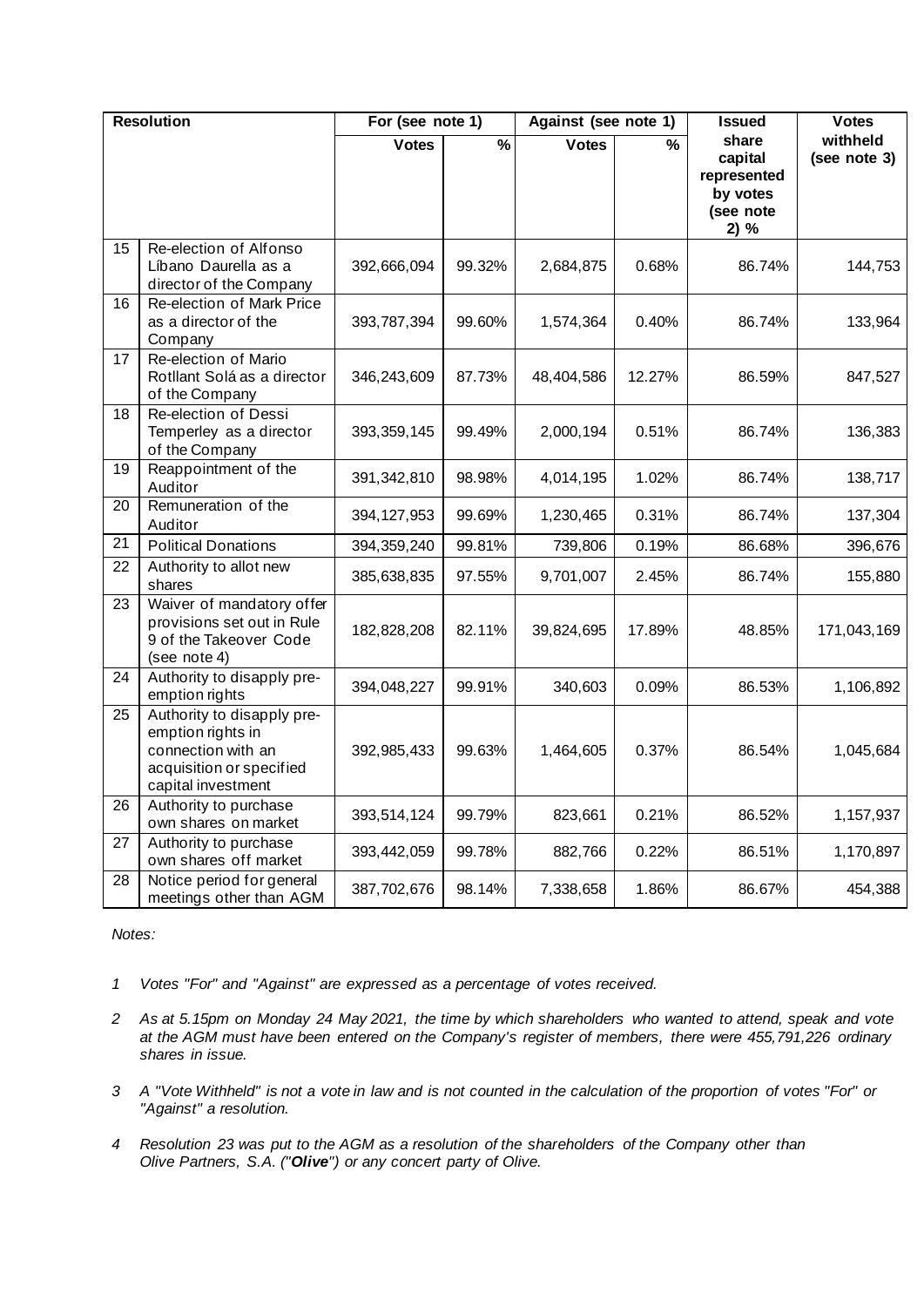| <b>Resolution</b> |                                                                                                                         | For (see note 1) |               | Against (see note 1) |                          | <b>Issued</b>                                                    | <b>Votes</b>             |
|-------------------|-------------------------------------------------------------------------------------------------------------------------|------------------|---------------|----------------------|--------------------------|------------------------------------------------------------------|--------------------------|
|                   |                                                                                                                         | <b>Votes</b>     | $\frac{9}{6}$ | <b>Votes</b>         | $\overline{\frac{9}{6}}$ | share<br>capital<br>represented<br>by votes<br>(see note<br>2) % | withheld<br>(see note 3) |
| 15                | Re-election of Alfonso<br>Líbano Daurella as a<br>director of the Company                                               | 392,666,094      | 99.32%        | 2,684,875            | 0.68%                    | 86.74%                                                           | 144,753                  |
| 16                | Re-election of Mark Price<br>as a director of the<br>Company                                                            | 393,787,394      | 99.60%        | 1,574,364            | 0.40%                    | 86.74%                                                           | 133,964                  |
| 17                | Re-election of Mario<br>Rotllant Solá as a director<br>of the Company                                                   | 346,243,609      | 87.73%        | 48,404,586           | 12.27%                   | 86.59%                                                           | 847,527                  |
| 18                | Re-election of Dessi<br>Temperley as a director<br>of the Company                                                       | 393, 359, 145    | 99.49%        | 2,000,194            | 0.51%                    | 86.74%                                                           | 136,383                  |
| 19                | Reappointment of the<br>Auditor                                                                                         | 391,342,810      | 98.98%        | 4,014,195            | 1.02%                    | 86.74%                                                           | 138,717                  |
| 20                | Remuneration of the<br>Auditor                                                                                          | 394, 127, 953    | 99.69%        | 1,230,465            | 0.31%                    | 86.74%                                                           | 137,304                  |
| 21                | <b>Political Donations</b>                                                                                              | 394, 359, 240    | 99.81%        | 739,806              | 0.19%                    | 86.68%                                                           | 396,676                  |
| 22                | Authority to allot new<br>shares                                                                                        | 385,638,835      | 97.55%        | 9,701,007            | 2.45%                    | 86.74%                                                           | 155,880                  |
| 23                | Waiver of mandatory offer<br>provisions set out in Rule<br>9 of the Takeover Code<br>(see note 4)                       | 182,828,208      | 82.11%        | 39,824,695           | 17.89%                   | 48.85%                                                           | 171,043,169              |
| 24                | Authority to disapply pre-<br>emption rights                                                                            | 394,048,227      | 99.91%        | 340,603              | 0.09%                    | 86.53%                                                           | 1,106,892                |
| 25                | Authority to disapply pre-<br>emption rights in<br>connection with an<br>acquisition or specified<br>capital investment | 392,985,433      | 99.63%        | 1,464,605            | 0.37%                    | 86.54%                                                           | 1,045,684                |
| 26                | Authority to purchase<br>own shares on market                                                                           | 393,514,124      | 99.79%        | 823,661              | 0.21%                    | 86.52%                                                           | 1,157,937                |
| 27                | Authority to purchase<br>own shares off market                                                                          | 393,442,059      | 99.78%        | 882,766              | 0.22%                    | 86.51%                                                           | 1,170,897                |
| 28                | Notice period for general<br>meetings other than AGM                                                                    | 387,702,676      | 98.14%        | 7,338,658            | 1.86%                    | 86.67%                                                           | 454,388                  |

## *Notes:*

- *1 Votes "For" and "Against" are expressed as a percentage of votes received.*
- *2 As at 5.15pm on Monday 24 May 2021, the time by which shareholders who wanted to attend, speak and vote at the AGM must have been entered on the Company's register of members, there were 455,791,226 ordinary shares in issue.*
- *3 A "Vote Withheld" is not a vote in law and is not counted in the calculation of the proportion of votes "For" or "Against" a resolution.*
- *4 Resolution 23 was put to the AGM as a resolution of the shareholders of the Company other than Olive Partners, S.A. ("Olive") or any concert party of Olive.*